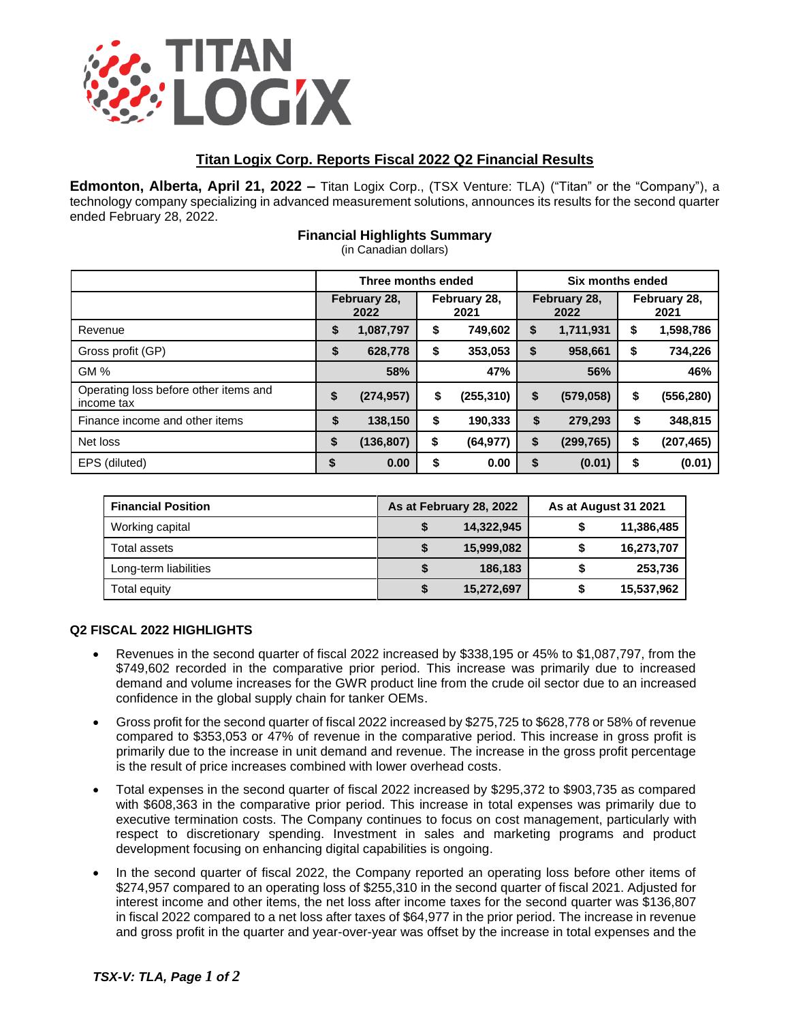

# **Titan Logix Corp. Reports Fiscal 2022 Q2 Financial Results**

**Edmonton, Alberta, April 21, 2022 –** Titan Logix Corp., (TSX Venture: TLA) ("Titan" or the "Company"), a technology company specializing in advanced measurement solutions, announces its results for the second quarter ended February 28, 2022.

## **Financial Highlights Summary**

(in Canadian dollars)

|                                                     | Three months ended   |            |                      | Six months ended |                      |            |                      |            |
|-----------------------------------------------------|----------------------|------------|----------------------|------------------|----------------------|------------|----------------------|------------|
|                                                     | February 28,<br>2022 |            | February 28,<br>2021 |                  | February 28,<br>2022 |            | February 28,<br>2021 |            |
| Revenue                                             | \$                   | 1,087,797  | \$                   | 749,602          | S                    | 1,711,931  | \$                   | 1,598,786  |
| Gross profit (GP)                                   | \$                   | 628,778    | \$                   | 353,053          | S                    | 958,661    | \$                   | 734,226    |
| <b>GM%</b>                                          |                      | 58%        |                      | 47%              |                      | 56%        |                      | 46%        |
| Operating loss before other items and<br>income tax | \$                   | (274, 957) | \$                   | (255, 310)       | \$                   | (579, 058) | \$                   | (556,280)  |
| Finance income and other items                      | \$                   | 138,150    | \$                   | 190,333          | \$                   | 279,293    | \$                   | 348,815    |
| Net loss                                            | \$                   | (136, 807) | \$                   | (64, 977)        | \$                   | (299, 765) | \$                   | (207, 465) |
| EPS (diluted)                                       |                      | 0.00       | \$                   | 0.00             | \$                   | (0.01)     | \$                   | (0.01)     |

| <b>Financial Position</b> | As at February 28, 2022 | As at August 31 2021 |            |  |
|---------------------------|-------------------------|----------------------|------------|--|
| Working capital           | 14,322,945              |                      | 11,386,485 |  |
| Total assets              | 15,999,082              |                      | 16,273,707 |  |
| Long-term liabilities     | 186,183                 |                      | 253,736    |  |
| Total equity              | 15,272,697              |                      | 15,537,962 |  |

### **Q2 FISCAL 2022 HIGHLIGHTS**

- Revenues in the second quarter of fiscal 2022 increased by \$338,195 or 45% to \$1,087,797, from the \$749,602 recorded in the comparative prior period. This increase was primarily due to increased demand and volume increases for the GWR product line from the crude oil sector due to an increased confidence in the global supply chain for tanker OEMs.
- Gross profit for the second quarter of fiscal 2022 increased by \$275,725 to \$628,778 or 58% of revenue compared to \$353,053 or 47% of revenue in the comparative period. This increase in gross profit is primarily due to the increase in unit demand and revenue. The increase in the gross profit percentage is the result of price increases combined with lower overhead costs.
- Total expenses in the second quarter of fiscal 2022 increased by \$295,372 to \$903,735 as compared with \$608,363 in the comparative prior period. This increase in total expenses was primarily due to executive termination costs. The Company continues to focus on cost management, particularly with respect to discretionary spending. Investment in sales and marketing programs and product development focusing on enhancing digital capabilities is ongoing.
- In the second quarter of fiscal 2022, the Company reported an operating loss before other items of \$274,957 compared to an operating loss of \$255,310 in the second quarter of fiscal 2021. Adjusted for interest income and other items, the net loss after income taxes for the second quarter was \$136,807 in fiscal 2022 compared to a net loss after taxes of \$64,977 in the prior period. The increase in revenue and gross profit in the quarter and year-over-year was offset by the increase in total expenses and the